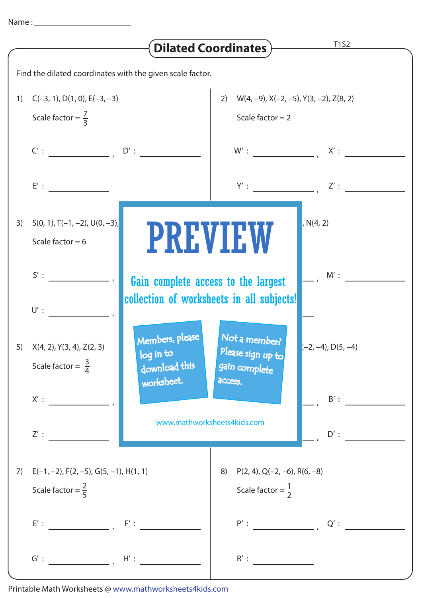| T1S2<br><b>Dilated Coordinates)</b>                       |                                                                |                                                                                  |                                                                            |                                                                       |  |
|-----------------------------------------------------------|----------------------------------------------------------------|----------------------------------------------------------------------------------|----------------------------------------------------------------------------|-----------------------------------------------------------------------|--|
| Find the dilated coordinates with the given scale factor. |                                                                |                                                                                  |                                                                            |                                                                       |  |
| 1)                                                        | $C(-3, 1), D(1, 0), E(-3, -3)$<br>Scale factor = $\frac{7}{3}$ |                                                                                  | 2) $W(4, -9)$ , $X(-2, -5)$ , $Y(3, -2)$ , $Z(8, 2)$<br>Scale factor $= 2$ |                                                                       |  |
|                                                           | $C':$ $D':$                                                    |                                                                                  |                                                                            |                                                                       |  |
|                                                           |                                                                |                                                                                  |                                                                            |                                                                       |  |
| 3)                                                        | $S(0, 1), T(-1, -2), U(0, -3)$<br>Scale factor = $6$           | <b>PREVIEW</b>                                                                   |                                                                            | N(4, 2)                                                               |  |
|                                                           | $S'$ :<br>$U'$ :                                               | Gain complete access to the largest<br>collection of worksheets in all subjects! | $M'$ :                                                                     |                                                                       |  |
|                                                           | 5) $X(4, 2), Y(3, 4), Z(2, 3)$<br>Scale factor = $\frac{3}{4}$ | Members, please<br>log in to<br>download this<br>worksheet.                      | Not a member?<br>Please sign up to<br>gain complete<br>access.             | $(-2, -4)$ , D(5, -4)                                                 |  |
|                                                           |                                                                |                                                                                  |                                                                            | $B'$ :                                                                |  |
|                                                           | Z':                                                            | www.mathworksheets4kids.com                                                      |                                                                            | $D'$ :                                                                |  |
| 7)                                                        | Scale factor = $\frac{2}{5}$                                   | $E(-1, -2)$ , $F(2, -5)$ , $G(5, -1)$ , $H(1, 1)$                                |                                                                            | $P(2, 4)$ , Q(-2, -6), R(6, -8)<br>8)<br>Scale factor = $\frac{1}{2}$ |  |
|                                                           |                                                                |                                                                                  |                                                                            | $P':$ $Q':$ $Q':$                                                     |  |
|                                                           | $G':$ $H':$ $H':$                                              |                                                                                  | R':                                                                        |                                                                       |  |

Printable Math Worksheets @ www.mathworksheets4kids.com